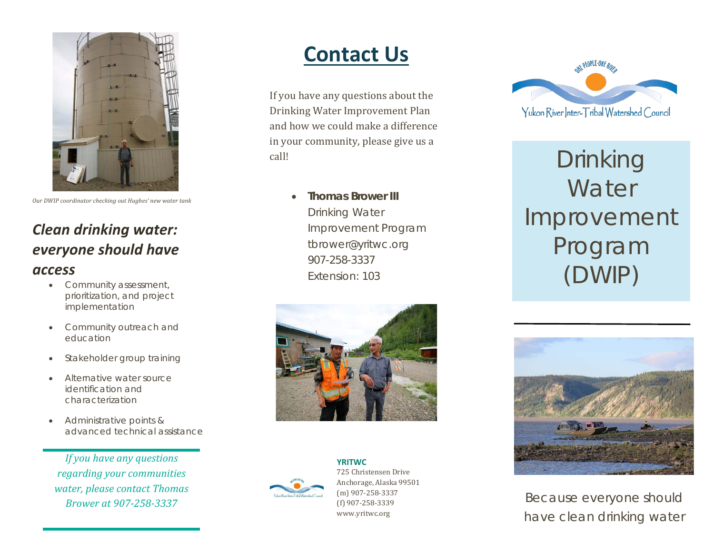

*Our DWIP coordinator checking out Hughes' new water tank*

### *Clean drinking water: everyone should have access*

- Community assessment, prioritization, and project implementation
- Community outreach and education
- Stakeholder group training
- Alternative water source identification and characterization
- Administrative points & advanced technical assistance

*If you have any questions regarding your communities water, please contact Thomas Brower at 907-258-3337*

## **Contact Us**

If you have any questions about the Drinking Water Improvement Plan and how we could make a difference in your community, please give us a call!

> • **Thomas Brower III** Drinking Water Improvement Program [tbrower@yritwc.org](mailto:tbrower@yritwc.org) 907-258-3337 Extension: 103





**YRITWC** 725 Christensen Drive Anchorage, Alaska 99501 (m) 907-258-3337 (f) 907-258-3339 www.yritwc.org



Drinking **Water** Improvement Program (DWIP)



*Because everyone should have clean drinking water*